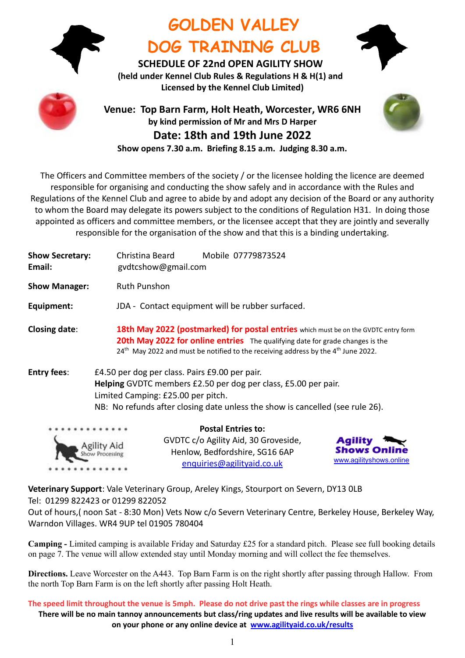

# **GOLDEN VALLEY DOG TRAINING CLUB**



**SCHEDULE OF 22nd OPEN AGILITY SHOW (held under Kennel Club Rules & Regulations H & H(1) and Licensed by the Kennel Club Limited)**



## **Venue: Top Barn Farm, Holt Heath, Worcester, WR6 6NH by kind permission of Mr and Mrs D Harper Date: 18th and 19th June 2022 Show opens 7.30 a.m. Briefing 8.15 a.m. Judging 8.30 a.m.**



The Officers and Committee members of the society / or the licensee holding the licence are deemed responsible for organising and conducting the show safely and in accordance with the Rules and Regulations of the Kennel Club and agree to abide by and adopt any decision of the Board or any authority to whom the Board may delegate its powers subject to the conditions of Regulation H31. In doing those appointed as officers and committee members, or the licensee accept that they are jointly and severally responsible for the organisation of the show and that this is a binding undertaking.

| <b>Show Secretary:</b><br>Email: | Mobile 07779873524<br>Christina Beard<br>gydtcshow@gmail.com                                                                                                                                                                                                                      |
|----------------------------------|-----------------------------------------------------------------------------------------------------------------------------------------------------------------------------------------------------------------------------------------------------------------------------------|
| <b>Show Manager:</b>             | <b>Ruth Punshon</b>                                                                                                                                                                                                                                                               |
| Equipment:                       | JDA - Contact equipment will be rubber surfaced.                                                                                                                                                                                                                                  |
| <b>Closing date:</b>             | 18th May 2022 (postmarked) for postal entries which must be on the GVDTC entry form<br>20th May 2022 for online entries The qualifying date for grade changes is the<br>24 <sup>th</sup> May 2022 and must be notified to the receiving address by the 4 <sup>th</sup> June 2022. |
| <b>Entry fees:</b>               | £4.50 per dog per class. Pairs £9.00 per pair.<br>Helping GVDTC members £2.50 per dog per class, £5.00 per pair.<br>Limited Camping: £25.00 per pitch.<br>NB: No refunds after closing date unless the show is cancelled (see rule 26).                                           |
| .                                | <b>Postal Entries to:</b>                                                                                                                                                                                                                                                         |

GVDTC c/o Agility Aid, 30 Groveside, Henlow, Bedfordshire, SG16 6AP [enquiries@agilityaid.co.uk](mailto:enquiries@agilityaid.co.uk)



**Veterinary Support**: Vale Veterinary Group, Areley Kings, Stourport on Severn, DY13 0LB Tel: 01299 822423 or 01299 822052

Agility Aid

Show Processing

Out of hours,( noon Sat - 8:30 Mon) Vets Now c/o Severn Veterinary Centre, Berkeley House, Berkeley Way, Warndon Villages. WR4 9UP tel 01905 780404

**Camping -** Limited camping is available Friday and Saturday £25 for a standard pitch. Please see full booking details on page 7. The venue will allow extended stay until Monday morning and will collect the fee themselves.

**Directions.** Leave Worcester on the A443. Top Barn Farm is on the right shortly after passing through Hallow. From the north Top Barn Farm is on the left shortly after passing Holt Heath.

**The speed limit throughout the venue is 5mph. Please do not drive past the rings while classes are in progress There will be no main tannoy announcements but class/ring updates and live results will be available to view on your phone or any online device at [www.agilityaid.co.uk/](http://www.agilityaid.co.uk/)results**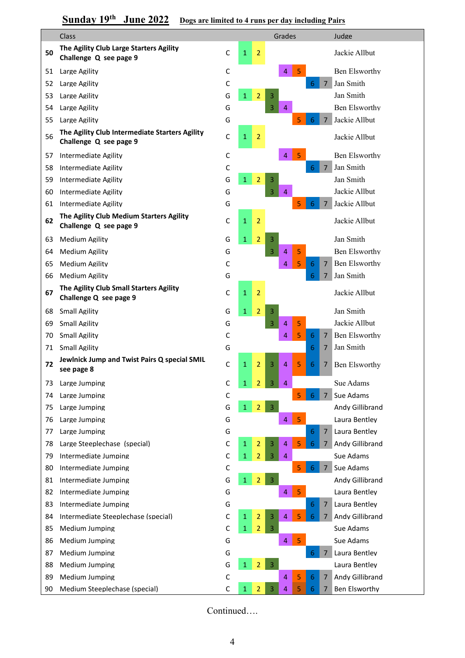## **Sunday 19<sup>th</sup> June 2022** Dogs are limited to 4 runs per day H{luding Pairs

|    | <b>Class</b>                                                             |             |              |                | Grades      |                     | Judge                  |
|----|--------------------------------------------------------------------------|-------------|--------------|----------------|-------------|---------------------|------------------------|
| 50 | The Agility Club Large Starters Agility<br>Challenge Q see page 9        | G           | 1            | 2              |             |                     | Jackie Allbut          |
| 51 | Large Agility                                                            | C           |              |                | 4<br>5      |                     | Ben Elsworthy          |
| 52 | Large Agility                                                            | C           |              |                |             | $\overline{7}$<br>6 | Jan Smith              |
| 53 | Large Agility                                                            | G           | $\mathbf{1}$ | 2              | 3           |                     | Jan Smith              |
| 54 | Large Agility                                                            | G           |              |                | 4<br>3      |                     | <b>Ben Elsworthy</b>   |
| 55 | Large Agility                                                            | G           |              |                | 5           | 7                   | Jackie Allbut          |
| 56 | The Agility Club Intermediate Starters Agility<br>Challenge Q see page 9 | G           | $\mathbf{1}$ | $\overline{2}$ |             |                     | Jackie Allbut          |
| 57 | Intermediate Agility                                                     | С           |              |                | 4<br>5      |                     | Ben Elsworthy          |
| 58 | Intermediate Agility                                                     | С           |              |                |             | $\overline{7}$<br>6 | Jan Smith              |
| 59 | Intermediate Agility                                                     | G           | $\mathbf{1}$ | 2              | 3           |                     | Jan Smith              |
| 60 | Intermediate Agility                                                     | G           |              |                | 3<br>4      |                     | Jackie Allbut          |
| 61 | Intermediate Agility                                                     | G           |              |                | 5           | 7                   | Jackie Allbut          |
| 62 | The Agility Club Medium Starters Agility<br>Challenge Q see page 9       | G           | $\mathbf{1}$ | $\overline{2}$ |             |                     | Jackie Allbut          |
| 63 | <b>Medium Agility</b>                                                    | G           | $\mathbf{1}$ | 2              | 3           |                     | Jan Smith              |
| 64 | <b>Medium Agility</b>                                                    | G           |              |                | 5<br>3<br>4 |                     | <b>Ben Elsworthy</b>   |
| 65 | <b>Medium Agility</b>                                                    | С           |              |                | 5<br>4      | $\overline{7}$<br>6 | <b>Ben Elsworthy</b>   |
| 66 | <b>Medium Agility</b>                                                    | G           |              |                |             | 6<br>7              | Jan Smith              |
| 67 | The Agility Club Small Starters Agility<br>Challenge Q see page 9        | G           | $\mathbf{1}$ | $\overline{2}$ |             |                     | Jackie Allbut          |
| 68 | <b>Small Agility</b>                                                     | G           | $\mathbf{1}$ | $\overline{2}$ | 3           |                     | Jan Smith              |
| 69 | <b>Small Agility</b>                                                     | G           |              |                | 5<br>4<br>3 |                     | Jackie Allbut          |
| 70 | <b>Small Agility</b>                                                     | С           |              |                | 5<br>4      | 6<br>7              | <b>Ben Elsworthy</b>   |
| 71 | <b>Small Agility</b>                                                     | G           |              |                |             | 6<br>7              | Jan Smith              |
| 72 | Jewlnick Jump and Twist Pairs Q special SMIL<br>see page 8               | C           | 1            | $\overline{2}$ | 5<br>3<br>4 | 6<br>7              | <b>Ben Elsworthy</b>   |
| 73 | Large Jumping                                                            | C           | $\mathbf{1}$ | 2              | 4           |                     | Sue Adams              |
| 74 | Large Jumping                                                            | $\mathsf C$ |              |                | 5           | $\overline{7}$<br>6 | Sue Adams              |
| 75 | Large Jumping                                                            | G           | $\mathbf{1}$ | $\overline{2}$ | 3           |                     | Andy Gillibrand        |
| 76 | Large Jumping                                                            | G           |              |                | 5<br>4      |                     | Laura Bentlev          |
| 77 | Large Jumping                                                            | G           |              |                |             | $\overline{7}$<br>6 | Laura Bentley          |
| 78 | Large Steeplechase (special)                                             | C           | $\mathbf{1}$ | 2              | 5<br>4<br>3 | 6<br>$7^{\circ}$    | Andy Gillibrand        |
| 79 | Intermediate Jumping                                                     | С           | $\mathbf{1}$ | 2              | 3<br>4      |                     | Sue Adams              |
| 80 | Intermediate Jumping                                                     | $\mathsf C$ |              |                | 5           | $7^{\circ}$<br>6    | Sue Adams              |
| 81 | Intermediate Jumping                                                     | G           | $\mathbf{1}$ | $\overline{2}$ | 3           |                     | Andy Gillibrand        |
| 82 | Intermediate Jumping                                                     | G           |              |                | 5<br>4      |                     | Laura Bentley          |
| 83 | Intermediate Jumping                                                     | G           |              |                |             | 6<br>$\overline{7}$ | Laura Bentley          |
| 84 | Intermediate Steeplechase (special)                                      | C           | $\mathbf{1}$ | $\overline{2}$ | 5<br>3<br>4 | 6<br>$7^{\circ}$    | <b>Andy Gillibrand</b> |
| 85 | Medium Jumping                                                           | C           | $\mathbf{1}$ | 2              | 3           |                     | Sue Adams              |
| 86 | Medium Jumping                                                           | G           |              |                | 5<br>4      |                     | Sue Adams              |
| 87 | Medium Jumping                                                           | G           |              |                |             | 6<br>$7^{\circ}$    | Laura Bentley          |
| 88 | Medium Jumping                                                           | G           | $\mathbf{1}$ | $\overline{2}$ | 3           |                     | Laura Bentley          |
| 89 | Medium Jumping                                                           | $\mathsf C$ |              |                | 5<br>4      | 6<br>$\overline{7}$ | Andy Gillibrand        |
| 90 | Medium Steeplechase (special)                                            | С           | $\mathbf{1}$ | $\overline{2}$ | 3<br>5<br>4 | 6<br>7              | Ben Elsworthy          |

Continued….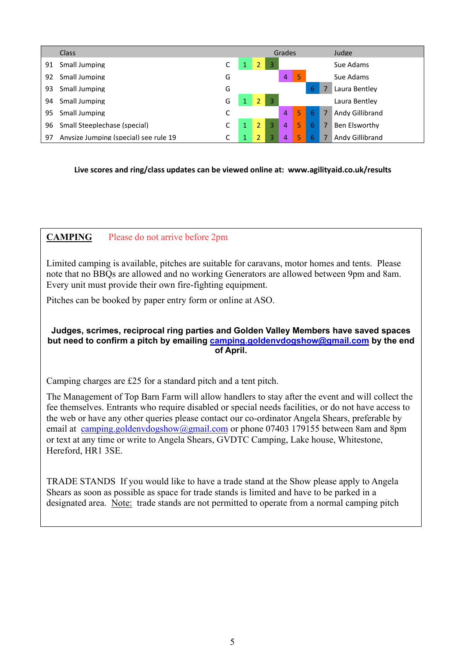|    | <b>Class</b>                          |   |                |    | Grades |   |   |   | Judge           |
|----|---------------------------------------|---|----------------|----|--------|---|---|---|-----------------|
| 91 | Small Jumping                         | С |                |    |        |   |   |   | Sue Adams       |
| 92 | Small Jumping                         | G |                |    | 4      | 5 |   |   | Sue Adams       |
| 93 | Small Jumping                         | G |                |    |        |   | 6 |   | Laura Bentley   |
| 94 | Small Jumping                         | G | 2              | -3 |        |   |   |   | Laura Bentley   |
| 95 | Small Jumping                         | С |                |    | 4      | 5 | 6 | 7 | Andy Gillibrand |
| 96 | Small Steeplechase (special)          | C | $\overline{2}$ | 3  | 4      | 5 | 6 | 7 | Ben Elsworthy   |
| 97 | Anysize Jumping (special) see rule 19 | C |                |    | 4      | 5 |   |   | Andy Gillibrand |

**Live scores and ring/class updates can be viewed online at: www.agilityaid.co.uk/results**

## **CAMPING** Please do not arrive before 2pm

Limited camping is available, pitches are suitable for caravans, motor homes and tents. Please note that no BBQs are allowed and no working Generators are allowed between 9pm and 8am. Every unit must provide their own fire-fighting equipment.

Pitches can be booked by paper entry form or online at ASO.

### **Judges, scrimes, reciprocal ring parties and Golden Valley Members have saved spaces but need to confirm a pitch by emailing [camping.goldenvdogshow@gmail.com](mailto:camping.goldenvdogshow@gmail.com) by the end of April.**

Camping charges are £25 for a standard pitch and a tent pitch.

The Management of Top Barn Farm will allow handlers to stay after the event and will collect the fee themselves. Entrants who require disabled or special needs facilities, or do not have access to the web or have any other queries please contact our co-ordinator Angela Shears, preferable by email at [camping.goldenvdogshow@gmail.com](mailto:camping.goldenvdogshow@gmail.com) or phone 07403 179155 between 8am and 8pm or text at any time or write to Angela Shears, GVDTC Camping, Lake house, Whitestone, Hereford, HR1 3SE.

TRADE STANDS If you would like to have a trade stand at the Show please apply to Angela Shears as soon as possible as space for trade stands is limited and have to be parked in a designated area. Note: trade stands are not permitted to operate from a normal camping pitch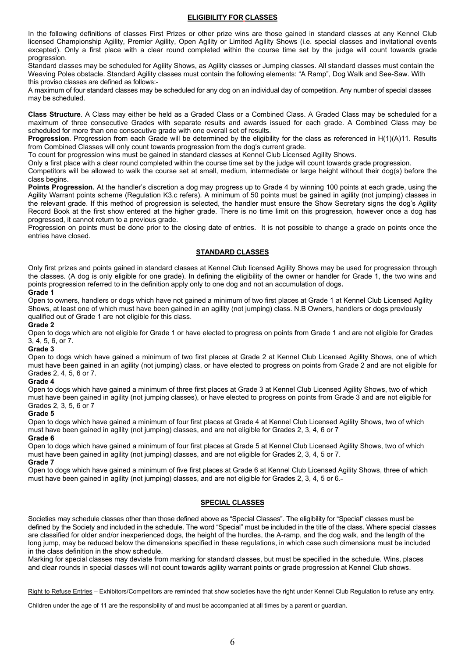#### **ELIGIBILITY FOR CLASSES**

In the following definitions of classes First Prizes or other prize wins are those gained in standard classes at any Kennel Club licensed Championship Agility, Premier Agility, Open Agility or Limited Agility Shows (i.e. special classes and invitational events excepted). Only a first place with a clear round completed within the course time set by the judge will count towards grade progression.

Standard classes may be scheduled for Agility Shows, as Agility classes or Jumping classes. All standard classes must contain the Weaving Poles obstacle. Standard Agility classes must contain the following elements: "A Ramp", Dog Walk and See-Saw. With this proviso classes are defined as follows:-

A maximum of four standard classes may be scheduled for any dog on an individual day of competition. Any number of special classes may be scheduled.

**Class Structure**. A Class may either be held as a Graded Class or a Combined Class. A Graded Class may be scheduled for a maximum of three consecutive Grades with separate results and awards issued for each grade. A Combined Class may be scheduled for more than one consecutive grade with one overall set of results.

**Progression**. Progression from each Grade will be determined by the eligibility for the class as referenced in H(1)(A)11. Results from Combined Classes will only count towards progression from the dog's current grade.

To count for progression wins must be gained in standard classes at Kennel Club Licensed Agility Shows.

Only a first place with a clear round completed within the course time set by the judge will count towards grade progression.

Competitors will be allowed to walk the course set at small, medium, intermediate or large height without their dog(s) before the class begins.

**Points Progression.** At the handler's discretion a dog may progress up to Grade 4 by winning 100 points at each grade, using the Agility Warrant points scheme (Regulation K3.c refers). A minimum of 50 points must be gained in agility (not jumping) classes in the relevant grade. If this method of progression is selected, the handler must ensure the Show Secretary signs the dog's Agility Record Book at the first show entered at the higher grade. There is no time limit on this progression, however once a dog has progressed, it cannot return to a previous grade.

Progression on points must be done prior to the closing date of entries. It is not possible to change a grade on points once the entries have closed.

#### **STANDARD CLASSES**

Only first prizes and points gained in standard classes at Kennel Club licensed Agility Shows may be used for progression through the classes. (A dog is only eligible for one grade). In defining the eligibility of the owner or handler for Grade 1, the two wins and points progression referred to in the definition apply only to one dog and not an accumulation of dogs**.** 

#### **Grade 1**

Open to owners, handlers or dogs which have not gained a minimum of two first places at Grade 1 at Kennel Club Licensed Agility Shows, at least one of which must have been gained in an agility (not jumping) class. N.B Owners, handlers or dogs previously qualified out of Grade 1 are not eligible for this class.

#### **Grade 2**

Open to dogs which are not eligible for Grade 1 or have elected to progress on points from Grade 1 and are not eligible for Grades 3, 4, 5, 6, or 7.

#### **Grade 3**

Open to dogs which have gained a minimum of two first places at Grade 2 at Kennel Club Licensed Agility Shows, one of which must have been gained in an agility (not jumping) class, or have elected to progress on points from Grade 2 and are not eligible for Grades 2, 4, 5, 6 or 7.

#### **Grade 4**

Open to dogs which have gained a minimum of three first places at Grade 3 at Kennel Club Licensed Agility Shows, two of which must have been gained in agility (not jumping classes), or have elected to progress on points from Grade 3 and are not eligible for Grades 2, 3, 5, 6 or 7

#### **Grade 5**

Open to dogs which have gained a minimum of four first places at Grade 4 at Kennel Club Licensed Agility Shows, two of which must have been gained in agility (not jumping) classes, and are not eligible for Grades 2, 3, 4, 6 or 7

#### **Grade 6**

Open to dogs which have gained a minimum of four first places at Grade 5 at Kennel Club Licensed Agility Shows, two of which must have been gained in agility (not jumping) classes, and are not eligible for Grades 2, 3, 4, 5 or 7.

#### **Grade 7**

Open to dogs which have gained a minimum of five first places at Grade 6 at Kennel Club Licensed Agility Shows, three of which must have been gained in agility (not jumping) classes, and are not eligible for Grades 2, 3, 4, 5 or 6.

#### **SPECIAL CLASSES**

Societies may schedule classes other than those defined above as "Special Classes". The eligibility for "Special" classes must be defined by the Society and included in the schedule. The word "Special" must be included in the title of the class. Where special classes are classified for older and/or inexperienced dogs, the height of the hurdles, the A-ramp, and the dog walk, and the length of the long jump, may be reduced below the dimensions specified in these regulations, in which case such dimensions must be included in the class definition in the show schedule.

Marking for special classes may deviate from marking for standard classes, but must be specified in the schedule. Wins, places and clear rounds in special classes will not count towards agility warrant points or grade progression at Kennel Club shows.

Right to Refuse Entries – Exhibitors/Competitors are reminded that show societies have the right under Kennel Club Regulation to refuse any entry.

Children under the age of 11 are the responsibility of and must be accompanied at all times by a parent or guardian.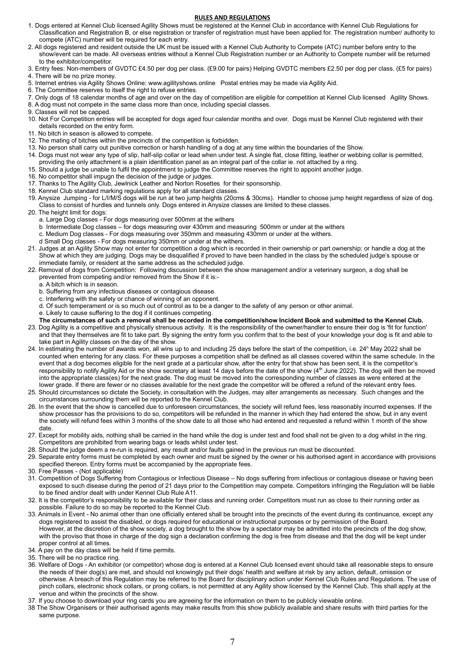#### **RULES AND REGULATIONS**

- 1. Dogs entered at Kennel Club licensed Agility Shows must be registered at the Kennel Club in accordance with Kennel Club Regulations for Classification and Registration B, or else registration or transfer of registration must have been applied for. The registration number/ authority to compete (ATC) number will be required for each entry.
- 2. All dogs registered and resident outside the UK must be issued with a Kennel Club Authority to Compete (ATC) number before entry to the show/event can be made. All overseas entries without a Kennel Club Registration number or an Authority to Compete number will be returned to the exhibitor/competitor.
- 3. Entry fees: Non-members of GVDTC £4.50 per dog per class. (£9.00 for pairs) Helping GVDTC members £2.50 per dog per class. (£5 for pairs)
- 4. There will be no prize money.
- 5. Internet entries via Agility Shows Online: www.agilityshows.online Postal entries may be made via Agility Aid.
- 6. The Committee reserves to itself the right to refuse entries.
- 7. Only dogs of 18 calendar months of age and over on the day of competition are eligible for competition at Kennel Club licensed Agility Shows.
- 8. A dog must not compete in the same class more than once, including special classes.
- 9. Classes will not be capped.
- 10. Not For Competition entries will be accepted for dogs aged four calendar months and over. Dogs must be Kennel Club registered with their details recorded on the entry form.
- 11. No bitch in season is allowed to compete.
- 12. The mating of bitches within the precincts of the competition is forbidden.
- 13. No person shall carry out punitive correction or harsh handling of a dog at any time within the boundaries of the Show.
- 14. Dogs must not wear any type of slip, half-slip collar or lead when under test. A single flat, close fitting, leather or webbing collar is permitted, providing the only attachment is a plain identification panel as an integral part of the collar ie. not attached by a ring.
- 15. Should a judge be unable to fulfil the appointment to judge the Committee reserves the right to appoint another judge.
- 16. No competitor shall impugn the decision of the judge or judges.
- 17. Thanks to The Agility Club, Jewlnick Leather and Norton Rosettes for their sponsorship.
- 18. Kennel Club standard marking regulations apply for all standard classes.
- 19. Anysize Jumping for L/I/M/S dogs will be run at two jump heights (20cms & 30cms). Handler to choose jump height regardless of size of dog. Class to consist of hurdles and tunnels only. Dogs entered in Anysize classes are limited to these classes.
- 20. The height limit for dogs:
	- a. Large Dog classes For dogs measuring over 500mm at the withers
	- b Intermediate Dog classes for dogs measuring over 430mm and measuring 500mm or under at the withers
	- c. Medium Dog classes For dogs measuring over 350mm and measuring 430mm or under at the withers.
	- d Small Dog classes For dogs measuring 350mm or under at the withers.
- 21. Judges at an Agility Show may not enter for competition a dog which is recorded in their ownership or part ownership; or handle a dog at the Show at which they are judging. Dogs may be disqualified if proved to have been handled in the class by the scheduled judge's spouse or immediate family, or resident at the same address as the scheduled judge.
- 22. Removal of dogs from Competition: Following discussion between the show management and/or a veterinary surgeon, a dog shall be prevented from competing and/or removed from the Show if it is:
	- a. A bitch which is in season.
	- b. Suffering from any infectious diseases or contagious disease.
	- c. Interfering with the safety or chance of winning of an opponent.
	- d. Of such temperament or is so much out of control as to be a danger to the safety of any person or other animal.
	- e. Likely to cause suffering to the dog if it continues competing.
	- **The circumstances of such a removal shall be recorded in the competition/show Incident Book and submitted to the Kennel Club.**
- 23. Dog Agility is a competitive and physically strenuous activity. It is the responsibility of the owner/handler to ensure their dog is 'fit for function' and that they themselves are fit to take part. By signing the entry form you confirm that to the best of your knowledge your dog is fit and able to take part in Agility classes on the day of the show.
- 24. In estimating the number of awards won, all wins up to and including 25 days before the start of the competition, i.e. 24<sup>h</sup> May 2022 shall be counted when entering for any class. For these purposes a competition shall be defined as all classes covered within the same schedule. In the event that a dog becomes eligible for the next grade at a particular show, after the entry for that show has been sent, it is the competitor's responsibility to notify Agility Aid or the show secretary at least 14 days before the date of the show (4<sup>th</sup> June 2022). The dog will then be moved into the appropriate class(es) for the next grade. The dog must be moved into the corresponding number of classes as were entered at the lower grade. If there are fewer or no classes available for the next grade the competitor will be offered a refund of the relevant entry fees
- 25. Should circumstances so dictate the Society, in consultation with the Judges, may alter arrangements as necessary. Such changes and the circumstances surrounding them will be reported to the Kennel Club.
- 26. In the event that the show is cancelled due to unforeseen circumstances, the society will refund fees, less reasonably incurred expenses. If the show processor has the provisions to do so, competitors will be refunded in the manner in which they had entered the show, but in any event the society will refund fees within 3 months of the show date to all those who had entered and requested a refund within 1 month of the show date.
- 27. Except for mobility aids, nothing shall be carried in the hand while the dog is under test and food shall not be given to a dog whilst in the ring. Competitors are prohibited from wearing bags or leads whilst under test.
- 28. Should the judge deem a re-run is required, any result and/or faults gained in the previous run must be discounted.
- 29. Separate entry forms must be completed by each owner and must be signed by the owner or his authorised agent in accordance with provisions specified thereon. Entry forms must be accompanied by the appropriate fees.
- 30. Free Passes (Not applicable)
- 31. Competition of Dogs Suffering from Contagious or Infectious Disease No dogs suffering from infectious or contagious disease or having been exposed to such disease during the period of 21 days prior to the Competition may compete. Competitors infringing the Regulation will be liable to be fined and/or dealt with under Kennel Club Rule A11.
- 32. It is the competitor's responsibility to be available for their class and running order. Competitors must run as close to their running order as possible. Failure to do so may be reported to the Kennel Club.
- 33. Animals in Event No animal other than one officially entered shall be brought into the precincts of the event during its continuance, except any dogs registered to assist the disabled, or dogs required for educational or instructional purposes or by permission of the Board. However, at the discretion of the show society, a dog brought to the show by a spectator may be admitted into the precincts of the dog show, with the proviso that those in charge of the dog sign a declaration confirming the dog is free from disease and that the dog will be kept under proper control at all times.
- 34. A pay on the day class will be held if time permits.
- 35. There will be no practice ring.
- 36. Welfare of Dogs An exhibitor (or competitor) whose dog is entered at a Kennel Club licensed event should take all reasonable steps to ensure the needs of their dog(s) are met, and should not knowingly put their dogs' health and welfare at risk by any action, default, omission or otherwise. A breach of this Regulation may be referred to the Board for disciplinary action under Kennel Club Rules and Regulations. The use of pinch collars, electronic shock collars, or prong collars, is not permitted at any Agility show licensed by the Kennel Club. This shall apply at the venue and within the precincts of the show.
- 37. If you choose to download your ring cards you are agreeing for the information on them to be publicly viewable online.
- 38 The Show Organisers or their authorised agents may make results from this show publicly available and share results with third parties for the same purpose.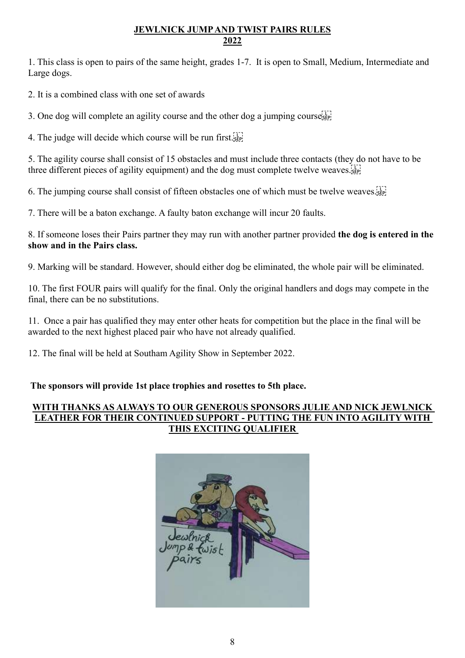## **JEWLNICK JUMP AND TWIST PAIRS RULES 2022**

1. This class is open to pairs of the same height, grades 1-7. It is open to Small, Medium, Intermediate and Large dogs.

2. It is a combined class with one set of awards

3. One dog will complete an agility course and the other dog a jumping courses

4. The judge will decide which course will be run first.

5. The agility course shall consist of 15 obstacles and must include three contacts (they do not have to be three different pieces of agility equipment) and the dog must complete twelve weaves.

6. The jumping course shall consist of fifteen obstacles one of which must be twelve weaves.

7. There will be a baton exchange. A faulty baton exchange will incur 20 faults.

8. If someone loses their Pairs partner they may run with another partner provided **the dog is entered in the show and in the Pairs class.**

9. Marking will be standard. However, should either dog be eliminated, the whole pair will be eliminated.

10. The first FOUR pairs will qualify for the final. Only the original handlers and dogs may compete in the final, there can be no substitutions.

11. Once a pair has qualified they may enter other heats for competition but the place in the final will be awarded to the next highest placed pair who have not already qualified.

12. The final will be held at Southam Agility Show in September 2022.

**The sponsors will provide 1st place trophies and rosettes to 5th place.**

## **WITH THANKS AS ALWAYS TO OUR GENEROUS SPONSORS JULIE AND NICK JEWLNICK LEATHER FOR THEIR CONTINUED SUPPORT - PUTTING THE FUN INTO AGILITY WITH THIS EXCITING QUALIFIER**

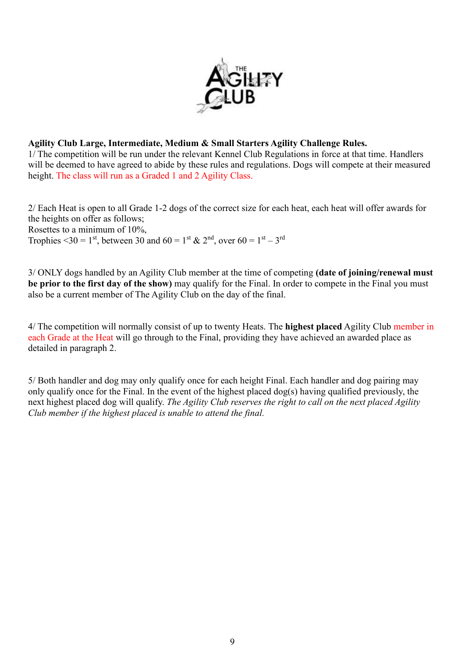

## **Agility Club Large, Intermediate, Medium & Small Starters Agility Challenge Rules.**

1/ The competition will be run under the relevant Kennel Club Regulations in force at that time. Handlers will be deemed to have agreed to abide by these rules and regulations. Dogs will compete at their measured height. The class will run as a Graded 1 and 2 Agility Class.

2/ Each Heat is open to all Grade 1-2 dogs of the correct size for each heat, each heat will offer awards for the heights on offer as follows; Rosettes to a minimum of 10%,

Trophies <30 = 1<sup>st</sup>, between 30 and 60 = 1<sup>st</sup> & 2<sup>nd</sup>, over 60 = 1<sup>st</sup> – 3<sup>rd</sup>

3/ ONLY dogs handled by an Agility Club member at the time of competing **(date of joining/renewal must be prior to the first day of the show)** may qualify for the Final. In order to compete in the Final you must also be a current member of The Agility Club on the day of the final.

4/ The competition will normally consist of up to twenty Heats. The **highest placed** Agility Club member in each Grade at the Heat will go through to the Final, providing they have achieved an awarded place as detailed in paragraph 2.

5/ Both handler and dog may only qualify once for each height Final. Each handler and dog pairing may only qualify once for the Final. In the event of the highest placed dog(s) having qualified previously, the next highest placed dog will qualify. *The Agility Club reserves the right to call on the next placed Agility Club member if the highest placed is unable to attend the final.*